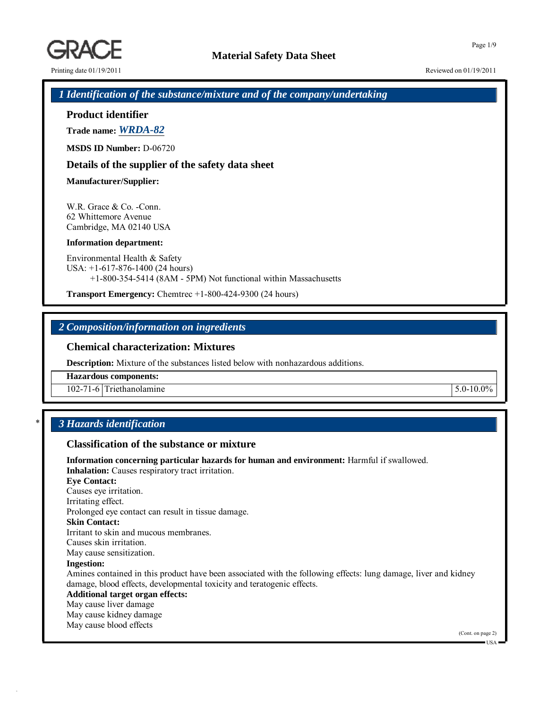Printing date  $01/19/2011$  Reviewed on  $01/19/2011$ 

*1 Identification of the substance/mixture and of the company/undertaking*

# **Product identifier**

**Trade name:** *WRDA-82*

**MSDS ID Number:** D-06720

# **Details of the supplier of the safety data sheet**

### **Manufacturer/Supplier:**

W.R. Grace & Co. -Conn. 62 Whittemore Avenue Cambridge, MA 02140 USA

#### **Information department:**

Environmental Health & Safety USA: +1-617-876-1400 (24 hours) +1-800-354-5414 (8AM - 5PM) Not functional within Massachusetts

**Transport Emergency:** Chemtrec +1-800-424-9300 (24 hours)

# *2 Composition/information on ingredients*

# **Chemical characterization: Mixtures**

**Description:** Mixture of the substances listed below with nonhazardous additions.

**Hazardous components:**

102-71-6 Triethanolamine 5.0-10.0%

# \* *3 Hazards identification*

# **Classification of the substance or mixture**

**Information concerning particular hazards for human and environment:** Harmful if swallowed. **Inhalation:** Causes respiratory tract irritation. **Eye Contact:** Causes eye irritation. Irritating effect. Prolonged eye contact can result in tissue damage. **Skin Contact:** Irritant to skin and mucous membranes. Causes skin irritation. May cause sensitization. **Ingestion:** Amines contained in this product have been associated with the following effects: lung damage, liver and kidney damage, blood effects, developmental toxicity and teratogenic effects. **Additional target organ effects:** May cause liver damage May cause kidney damage May cause blood effects

(Cont. on page 2)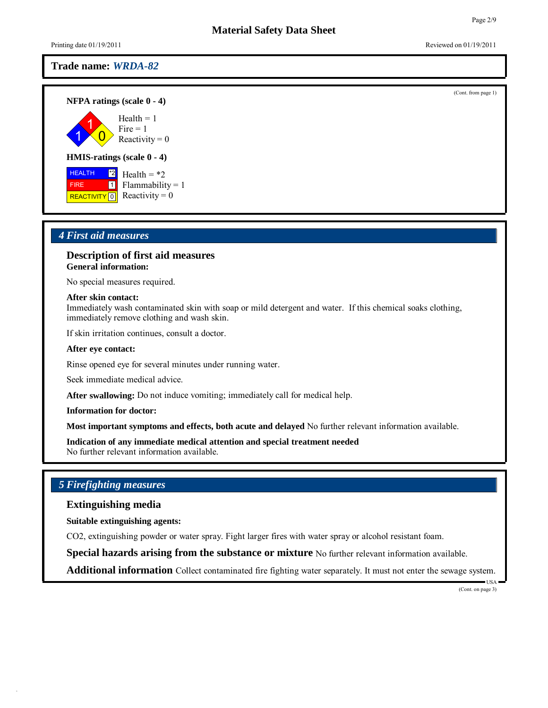**NFPA ratings (scale 0 - 4)**

1 1  $\overline{0}$  $Health = 1$  $Fire = 1$ Reactivity  $= 0$ 

### **HMIS-ratings (scale 0 - 4)**

 HEALTH FIRE REACTIVITY 0  $^*2$ 1 Health  $= *2$ Flammability = 1 Reactivity  $= 0$ 

# *4 First aid measures*

### **Description of first aid measures General information:**

No special measures required.

#### **After skin contact:**

Immediately wash contaminated skin with soap or mild detergent and water. If this chemical soaks clothing, immediately remove clothing and wash skin.

If skin irritation continues, consult a doctor.

#### **After eye contact:**

Rinse opened eye for several minutes under running water.

Seek immediate medical advice.

**After swallowing:** Do not induce vomiting; immediately call for medical help.

**Information for doctor:**

**Most important symptoms and effects, both acute and delayed** No further relevant information available.

**Indication of any immediate medical attention and special treatment needed** No further relevant information available.

# *5 Firefighting measures*

**Extinguishing media**

**Suitable extinguishing agents:**

CO2, extinguishing powder or water spray. Fight larger fires with water spray or alcohol resistant foam.

**Special hazards arising from the substance or mixture** No further relevant information available.

**Additional information** Collect contaminated fire fighting water separately. It must not enter the sewage system.

USA (Cont. on page 3)

Page 2/9

(Cont. from page 1)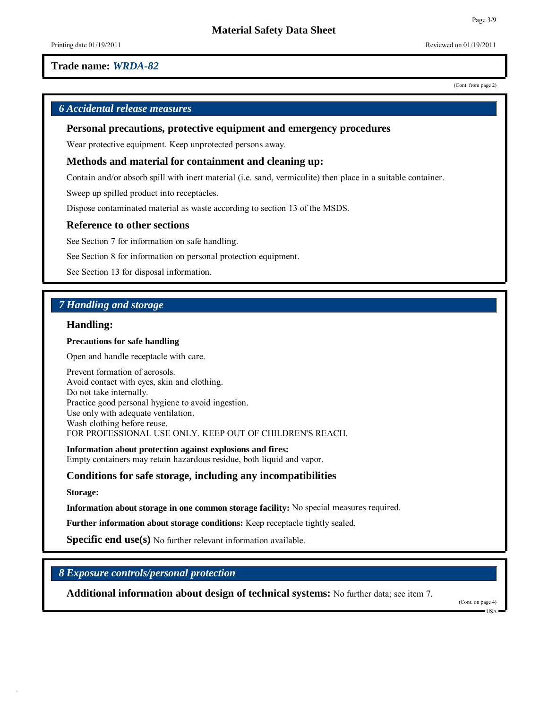(Cont. from page 2)

Page 3/9

# *6 Accidental release measures*

**Personal precautions, protective equipment and emergency procedures**

Wear protective equipment. Keep unprotected persons away.

# **Methods and material for containment and cleaning up:**

Contain and/or absorb spill with inert material (i.e. sand, vermiculite) then place in a suitable container.

Sweep up spilled product into receptacles.

Dispose contaminated material as waste according to section 13 of the MSDS.

### **Reference to other sections**

See Section 7 for information on safe handling.

See Section 8 for information on personal protection equipment.

See Section 13 for disposal information.

# *7 Handling and storage*

### **Handling:**

#### **Precautions for safe handling**

Open and handle receptacle with care.

Prevent formation of aerosols. Avoid contact with eyes, skin and clothing. Do not take internally. Practice good personal hygiene to avoid ingestion. Use only with adequate ventilation. Wash clothing before reuse. FOR PROFESSIONAL USE ONLY. KEEP OUT OF CHILDREN'S REACH.

**Information about protection against explosions and fires:** Empty containers may retain hazardous residue, both liquid and vapor.

### **Conditions for safe storage, including any incompatibilities**

#### **Storage:**

**Information about storage in one common storage facility:** No special measures required.

**Further information about storage conditions:** Keep receptacle tightly sealed.

**Specific end use(s)** No further relevant information available.

# *8 Exposure controls/personal protection*

**Additional information about design of technical systems:** No further data; see item 7.

(Cont. on page 4)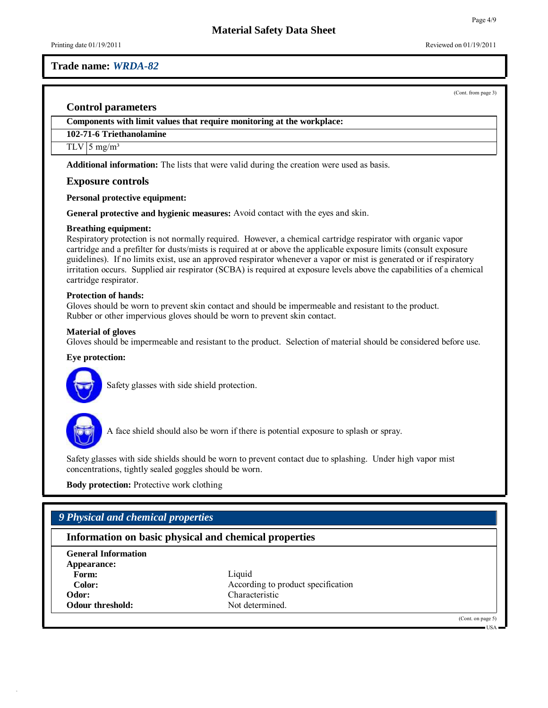Printing date  $01/19/2011$  Reviewed on  $01/19/2011$ 

### **Trade name:** *WRDA-82*

(Cont. from page 3)

### **Control parameters**

**Components with limit values that require monitoring at the workplace:**

### **102-71-6 Triethanolamine**

### $TLV$  5 mg/m<sup>3</sup>

**Additional information:** The lists that were valid during the creation were used as basis.

### **Exposure controls**

**Personal protective equipment:**

**General protective and hygienic measures:** Avoid contact with the eyes and skin.

#### **Breathing equipment:**

Respiratory protection is not normally required. However, a chemical cartridge respirator with organic vapor cartridge and a prefilter for dusts/mists is required at or above the applicable exposure limits (consult exposure guidelines). If no limits exist, use an approved respirator whenever a vapor or mist is generated or if respiratory irritation occurs. Supplied air respirator (SCBA) is required at exposure levels above the capabilities of a chemical cartridge respirator.

### **Protection of hands:**

Gloves should be worn to prevent skin contact and should be impermeable and resistant to the product. Rubber or other impervious gloves should be worn to prevent skin contact.

### **Material of gloves**

Gloves should be impermeable and resistant to the product. Selection of material should be considered before use.

#### **Eye protection:**



Safety glasses with side shield protection.



A face shield should also be worn if there is potential exposure to splash or spray.

Safety glasses with side shields should be worn to prevent contact due to splashing. Under high vapor mist concentrations, tightly sealed goggles should be worn.

**Body protection:** Protective work clothing

# *9 Physical and chemical properties*

# **Information on basic physical and chemical properties**

| <b>General Information</b> |                                    |
|----------------------------|------------------------------------|
| Appearance:                |                                    |
| Form:                      | Liquid                             |
| Color:                     | According to product specification |
| Odor:                      | Characteristic                     |
| <b>Odour threshold:</b>    | Not determined.                    |

(Cont. on page 5)

USA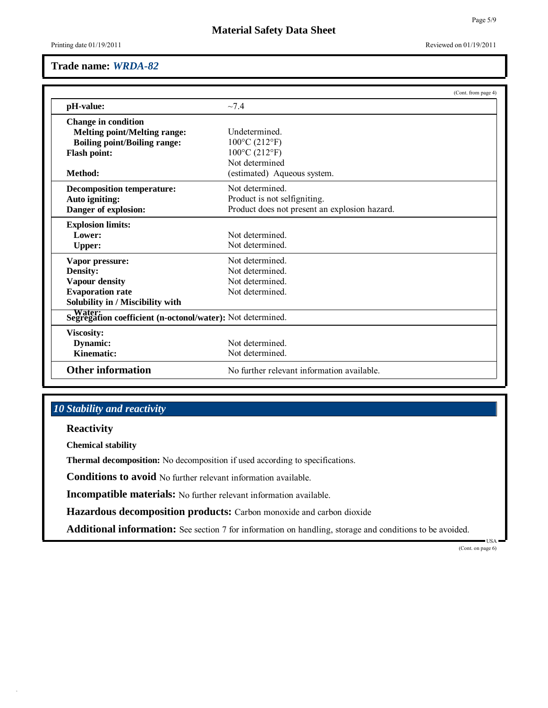# **Material Safety Data Sheet**

Printing date  $01/19/2011$  Reviewed on  $01/19/2011$ 

# **Trade name:** *WRDA-82*

|                                                            |                                               | (Cont. from page 4) |
|------------------------------------------------------------|-----------------------------------------------|---------------------|
| pH-value:                                                  | ~1.4                                          |                     |
| <b>Change in condition</b>                                 |                                               |                     |
| <b>Melting point/Melting range:</b>                        | Undetermined.                                 |                     |
| <b>Boiling point/Boiling range:</b>                        | $100^{\circ}$ C (212°F)                       |                     |
| <b>Flash point:</b>                                        | $100^{\circ}$ C (212 $^{\circ}$ F)            |                     |
|                                                            | Not determined                                |                     |
| Method:                                                    | (estimated) Aqueous system.                   |                     |
| <b>Decomposition temperature:</b>                          | Not determined                                |                     |
| Auto igniting:                                             | Product is not selfigniting.                  |                     |
| Danger of explosion:                                       | Product does not present an explosion hazard. |                     |
| <b>Explosion limits:</b>                                   |                                               |                     |
| Lower:                                                     | Not determined.                               |                     |
| <b>Upper:</b>                                              | Not determined.                               |                     |
| Vapor pressure:                                            | Not determined                                |                     |
| <b>Density:</b>                                            | Not determined.                               |                     |
| Vapour density                                             | Not determined                                |                     |
| <b>Evaporation rate</b>                                    | Not determined                                |                     |
| Solubility in / Miscibility with                           |                                               |                     |
| Segregation coefficient (n-octonol/water): Not determined. |                                               |                     |
| Viscosity:                                                 |                                               |                     |
| <b>Dynamic:</b>                                            | Not determined                                |                     |
| Kinematic:                                                 | Not determined.                               |                     |
| <b>Other information</b>                                   | No further relevant information available.    |                     |

# *10 Stability and reactivity*

**Reactivity**

**Chemical stability**

**Thermal decomposition:** No decomposition if used according to specifications.

**Conditions to avoid** No further relevant information available.

**Incompatible materials:** No further relevant information available.

**Hazardous decomposition products:** Carbon monoxide and carbon dioxide

**Additional information:** See section 7 for information on handling, storage and conditions to be avoided.

USA (Cont. on page 6)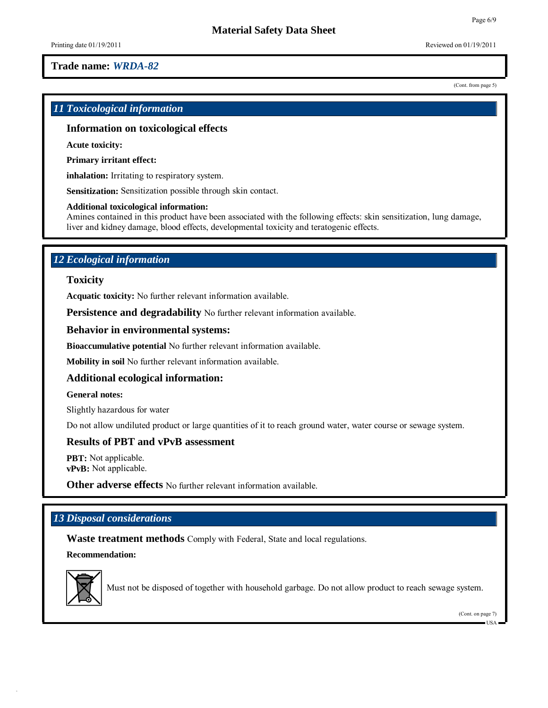Printing date  $01/19/2011$  Reviewed on  $01/19/2011$ 

# **Trade name:** *WRDA-82*

(Cont. from page 5)

# *11 Toxicological information*

# **Information on toxicological effects**

**Acute toxicity:**

**Primary irritant effect:**

**inhalation:** Irritating to respiratory system.

**Sensitization:** Sensitization possible through skin contact.

### **Additional toxicological information:**

Amines contained in this product have been associated with the following effects: skin sensitization, lung damage, liver and kidney damage, blood effects, developmental toxicity and teratogenic effects.

# *12 Ecological information*

# **Toxicity**

**Acquatic toxicity:** No further relevant information available.

**Persistence and degradability** No further relevant information available.

### **Behavior in environmental systems:**

**Bioaccumulative potential** No further relevant information available.

**Mobility in soil** No further relevant information available.

# **Additional ecological information:**

#### **General notes:**

Slightly hazardous for water

Do not allow undiluted product or large quantities of it to reach ground water, water course or sewage system.

### **Results of PBT and vPvB assessment**

**PBT:** Not applicable. **vPvB:** Not applicable.

**Other adverse effects** No further relevant information available.

# *13 Disposal considerations*

**Waste treatment methods** Comply with Federal, State and local regulations.

**Recommendation:**



Must not be disposed of together with household garbage. Do not allow product to reach sewage system.

(Cont. on page 7)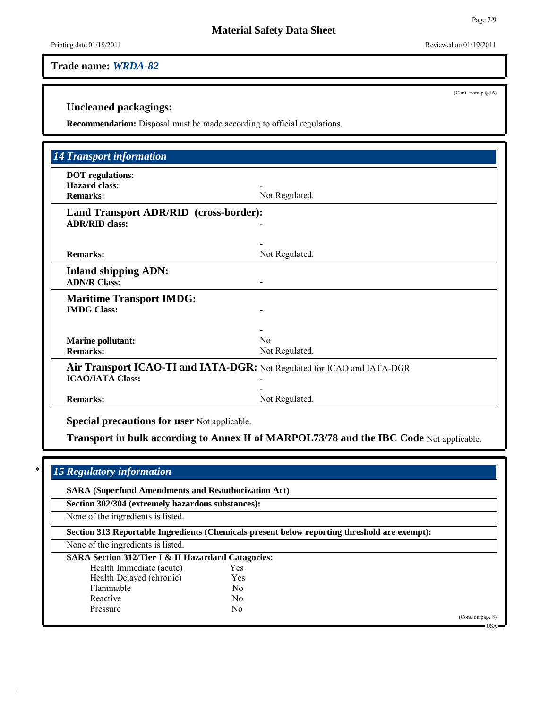(Cont. from page 6)

# **Uncleaned packagings:**

**Recommendation:** Disposal must be made according to official regulations.

| <b>DOT</b> regulations:<br><b>Hazard class:</b><br><b>Remarks:</b> | Not Regulated.                                                          |
|--------------------------------------------------------------------|-------------------------------------------------------------------------|
| Land Transport ADR/RID (cross-border):<br><b>ADR/RID class:</b>    |                                                                         |
| <b>Remarks:</b>                                                    | Not Regulated.                                                          |
| <b>Inland shipping ADN:</b><br><b>ADN/R Class:</b>                 |                                                                         |
| <b>Maritime Transport IMDG:</b><br><b>IMDG Class:</b>              |                                                                         |
| <b>Marine pollutant:</b><br><b>Remarks:</b>                        | $\rm No$<br>Not Regulated.                                              |
| <b>ICAO/IATA Class:</b>                                            | Air Transport ICAO-TI and IATA-DGR: Not Regulated for ICAO and IATA-DGR |
| <b>Remarks:</b>                                                    | Not Regulated.                                                          |

# \* *15 Regulatory information*

**SARA (Superfund Amendments and Reauthorization Act)**

**Section 302/304 (extremely hazardous substances):**

None of the ingredients is listed.

**Section 313 Reportable Ingredients (Chemicals present below reporting threshold are exempt):**

None of the ingredients is listed.

| <b>SARA Section 312/Tier I &amp; II Hazardard Catagories:</b> |  |  |  |
|---------------------------------------------------------------|--|--|--|
|---------------------------------------------------------------|--|--|--|

| Yes            |
|----------------|
| Yes            |
| N <sub>0</sub> |
| N <sub>0</sub> |
| Nο             |
|                |

(Cont. on page 8)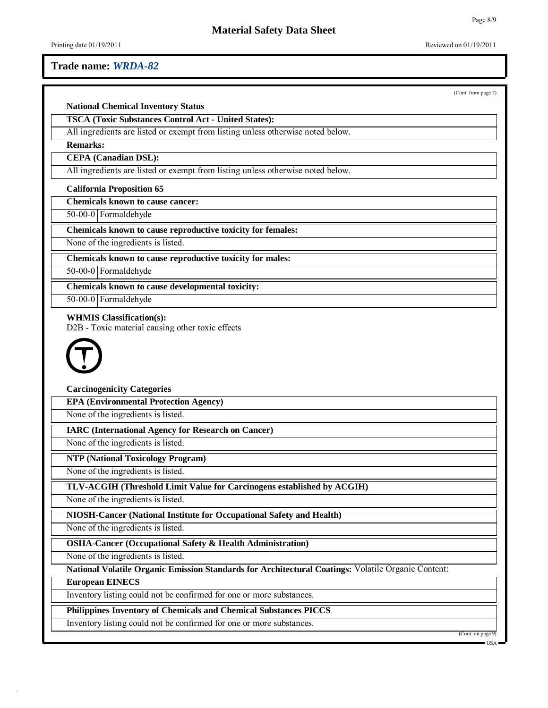(Cont. from page 7)

Page 8/9

# **National Chemical Inventory Status**

**TSCA (Toxic Substances Control Act - United States):**

All ingredients are listed or exempt from listing unless otherwise noted below.

**Remarks:**

**CEPA (Canadian DSL):**

All ingredients are listed or exempt from listing unless otherwise noted below.

**California Proposition 65**

**Chemicals known to cause cancer:**

50-00-0 Formaldehyde

**Chemicals known to cause reproductive toxicity for females:**

None of the ingredients is listed.

**Chemicals known to cause reproductive toxicity for males:**

50-00-0 Formaldehyde

**Chemicals known to cause developmental toxicity:**

50-00-0 Formaldehyde

#### **WHMIS Classification(s):**

D2B - Toxic material causing other toxic effects



**Carcinogenicity Categories**

**EPA (Environmental Protection Agency)**

None of the ingredients is listed.

**IARC (International Agency for Research on Cancer)**

None of the ingredients is listed.

**NTP (National Toxicology Program)**

None of the ingredients is listed.

**TLV-ACGIH (Threshold Limit Value for Carcinogens established by ACGIH)**

None of the ingredients is listed.

**NIOSH-Cancer (National Institute for Occupational Safety and Health)**

None of the ingredients is listed.

**OSHA-Cancer (Occupational Safety & Health Administration)**

None of the ingredients is listed.

**National Volatile Organic Emission Standards for Architectural Coatings:** Volatile Organic Content:

#### **European EINECS**

Inventory listing could not be confirmed for one or more substances.

**Philippines Inventory of Chemicals and Chemical Substances PICCS**

Inventory listing could not be confirmed for one or more substances.

(Cont. on page 9)